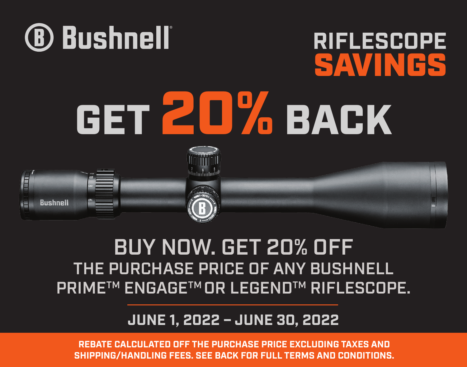**REBATE CALCULATED OFF THE PURCHASE PRICE EXCLUDING TAXES AND SHIPPING/HANDLING FEES. SEE BACK FOR FULL TERMS AND CONDITIONS.**

#### **JUNE 1, 2022 – JUNE 30, 2022**

# BUY NOW. GET 20% OFF THE PURCHASE PRICE OF ANY BUSHNELL PRIMETM ENGAGETM OR LEGENDTM RIFLESCOPE.



**RIFLESCOPE**

SAVINGS